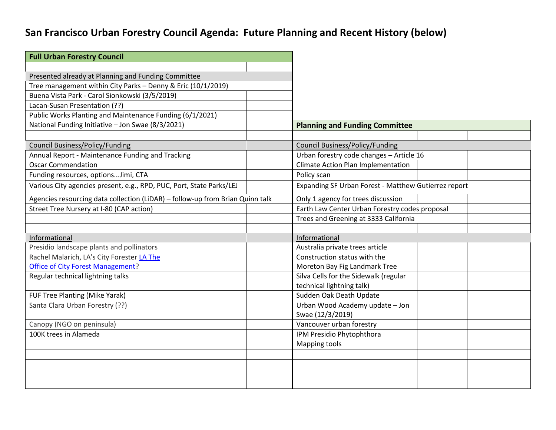## **San Francisco Urban Forestry Council Agenda: Future Planning and Recent History (below)**

| <b>Full Urban Forestry Council</b>                                            |  |  |                                                      |  |  |
|-------------------------------------------------------------------------------|--|--|------------------------------------------------------|--|--|
|                                                                               |  |  |                                                      |  |  |
| Presented already at Planning and Funding Committee                           |  |  |                                                      |  |  |
| Tree management within City Parks - Denny & Eric (10/1/2019)                  |  |  |                                                      |  |  |
| Buena Vista Park - Carol Sionkowski (3/5/2019)                                |  |  |                                                      |  |  |
| Lacan-Susan Presentation (??)                                                 |  |  |                                                      |  |  |
| Public Works Planting and Maintenance Funding (6/1/2021)                      |  |  |                                                      |  |  |
| National Funding Initiative - Jon Swae (8/3/2021)                             |  |  | <b>Planning and Funding Committee</b>                |  |  |
|                                                                               |  |  |                                                      |  |  |
| <b>Council Business/Policy/Funding</b>                                        |  |  | <b>Council Business/Policy/Funding</b>               |  |  |
| Annual Report - Maintenance Funding and Tracking                              |  |  | Urban forestry code changes - Article 16             |  |  |
| <b>Oscar Commendation</b>                                                     |  |  | Climate Action Plan Implementation                   |  |  |
| Funding resources, optionsJimi, CTA                                           |  |  | Policy scan                                          |  |  |
| Various City agencies present, e.g., RPD, PUC, Port, State Parks/LEJ          |  |  | Expanding SF Urban Forest - Matthew Gutierrez report |  |  |
| Agencies resourcing data collection (LiDAR) - follow-up from Brian Quinn talk |  |  | Only 1 agency for trees discussion                   |  |  |
| Street Tree Nursery at I-80 (CAP action)                                      |  |  | Earth Law Center Urban Forestry codes proposal       |  |  |
|                                                                               |  |  | Trees and Greening at 3333 California                |  |  |
|                                                                               |  |  |                                                      |  |  |
| Informational                                                                 |  |  | Informational                                        |  |  |
| Presidio landscape plants and pollinators                                     |  |  | Australia private trees article                      |  |  |
| Rachel Malarich, LA's City Forester LA The                                    |  |  | Construction status with the                         |  |  |
| <b>Office of City Forest Management?</b>                                      |  |  | Moreton Bay Fig Landmark Tree                        |  |  |
| Regular technical lightning talks                                             |  |  | Silva Cells for the Sidewalk (regular                |  |  |
|                                                                               |  |  | technical lightning talk)                            |  |  |
| FUF Tree Planting (Mike Yarak)                                                |  |  | Sudden Oak Death Update                              |  |  |
| Santa Clara Urban Forestry (??)                                               |  |  | Urban Wood Academy update - Jon                      |  |  |
|                                                                               |  |  | Swae (12/3/2019)                                     |  |  |
| Canopy (NGO on peninsula)                                                     |  |  | Vancouver urban forestry                             |  |  |
| 100K trees in Alameda                                                         |  |  | IPM Presidio Phytophthora                            |  |  |
|                                                                               |  |  | <b>Mapping tools</b>                                 |  |  |
|                                                                               |  |  |                                                      |  |  |
|                                                                               |  |  |                                                      |  |  |
|                                                                               |  |  |                                                      |  |  |
|                                                                               |  |  |                                                      |  |  |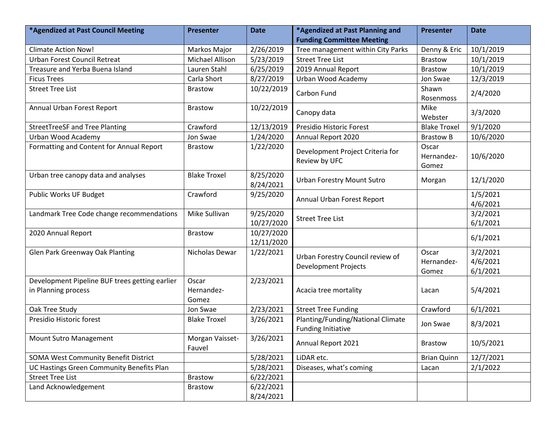| *Agendized at Past Council Meeting                                    | <b>Presenter</b>             | <b>Date</b>              | *Agendized at Past Planning and                                 | <b>Presenter</b>             | <b>Date</b>                      |
|-----------------------------------------------------------------------|------------------------------|--------------------------|-----------------------------------------------------------------|------------------------------|----------------------------------|
|                                                                       |                              |                          | <b>Funding Committee Meeting</b>                                |                              |                                  |
| <b>Climate Action Now!</b>                                            | Markos Major                 | 2/26/2019                | Tree management within City Parks                               | Denny & Eric                 | 10/1/2019                        |
| <b>Urban Forest Council Retreat</b>                                   | Michael Allison              | 5/23/2019                | <b>Street Tree List</b>                                         | <b>Brastow</b>               | 10/1/2019                        |
| Treasure and Yerba Buena Island                                       | Lauren Stahl                 | 6/25/2019                | 2019 Annual Report                                              | <b>Brastow</b>               | 10/1/2019                        |
| <b>Ficus Trees</b>                                                    | Carla Short                  | 8/27/2019                | Urban Wood Academy                                              | Jon Swae                     | 12/3/2019                        |
| <b>Street Tree List</b>                                               | <b>Brastow</b>               | 10/22/2019               | Carbon Fund                                                     | Shawn<br>Rosenmoss           | 2/4/2020                         |
| Annual Urban Forest Report                                            | <b>Brastow</b>               | 10/22/2019               | Canopy data                                                     | Mike<br>Webster              | 3/3/2020                         |
| <b>StreetTreeSF and Tree Planting</b>                                 | Crawford                     | 12/13/2019               | Presidio Historic Forest                                        | <b>Blake Troxel</b>          | 9/1/2020                         |
| Urban Wood Academy                                                    | Jon Swae                     | 1/24/2020                | Annual Report 2020                                              | <b>Brastow B</b>             | 10/6/2020                        |
| Formatting and Content for Annual Report                              | <b>Brastow</b>               | 1/22/2020                | Development Project Criteria for<br>Review by UFC               | Oscar<br>Hernandez-<br>Gomez | 10/6/2020                        |
| Urban tree canopy data and analyses                                   | <b>Blake Troxel</b>          | 8/25/2020<br>8/24/2021   | <b>Urban Forestry Mount Sutro</b>                               | Morgan                       | 12/1/2020                        |
| Public Works UF Budget                                                | Crawford                     | 9/25/2020                | Annual Urban Forest Report                                      |                              | 1/5/2021<br>4/6/2021             |
| Landmark Tree Code change recommendations                             | Mike Sullivan                | 9/25/2020<br>10/27/2020  | <b>Street Tree List</b>                                         |                              | 3/2/2021<br>6/1/2021             |
| 2020 Annual Report                                                    | <b>Brastow</b>               | 10/27/2020<br>12/11/2020 |                                                                 |                              | 6/1/2021                         |
| Glen Park Greenway Oak Planting                                       | Nicholas Dewar               | 1/22/2021                | Urban Forestry Council review of<br><b>Development Projects</b> | Oscar<br>Hernandez-<br>Gomez | 3/2/2021<br>4/6/2021<br>6/1/2021 |
| Development Pipeline BUF trees getting earlier<br>in Planning process | Oscar<br>Hernandez-<br>Gomez | 2/23/2021                | Acacia tree mortality                                           | Lacan                        | 5/4/2021                         |
| Oak Tree Study                                                        | Jon Swae                     | 2/23/2021                | <b>Street Tree Funding</b>                                      | Crawford                     | 6/1/2021                         |
| Presidio Historic forest                                              | <b>Blake Troxel</b>          | 3/26/2021                | Planting/Funding/National Climate<br><b>Funding Initiative</b>  | Jon Swae                     | 8/3/2021                         |
| Mount Sutro Management                                                | Morgan Vaisset-<br>Fauvel    | 3/26/2021                | Annual Report 2021                                              | Brastow                      | 10/5/2021                        |
| SOMA West Community Benefit District                                  |                              | 5/28/2021                | LiDAR etc.                                                      | <b>Brian Quinn</b>           | 12/7/2021                        |
| UC Hastings Green Community Benefits Plan                             |                              | 5/28/2021                | Diseases, what's coming                                         | Lacan                        | 2/1/2022                         |
| <b>Street Tree List</b>                                               | <b>Brastow</b>               | 6/22/2021                |                                                                 |                              |                                  |
| Land Acknowledgement                                                  | <b>Brastow</b>               | 6/22/2021<br>8/24/2021   |                                                                 |                              |                                  |